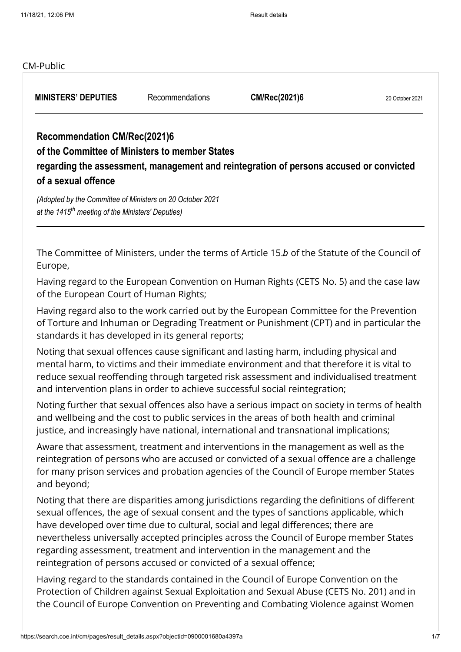### CM-Public

**MINISTERS' DEPUTIES** Recommendations **CM/Rec(2021)6** 20 October 2021

# **Recommendation CM/Rec(2021)6**

### **of the Committee of Ministers to member States**

**regarding the assessment, management and reintegration of persons accused or convicted of a sexual offence**

*(Adopted by the Committee of Ministers on 20 October 2021 at the 1415 meeting of the Ministers' Deputies) th*

The Committee of Ministers, under the terms of Article 15.b of the Statute of the Council of Europe,

Having regard to the European Convention on Human Rights (CETS No. 5) and the case law of the European Court of Human Rights;

Having regard also to the work carried out by the European Committee for the Prevention of Torture and Inhuman or Degrading Treatment or Punishment (CPT) and in particular the standards it has developed in its general reports;

Noting that sexual offences cause significant and lasting harm, including physical and mental harm, to victims and their immediate environment and that therefore it is vital to reduce sexual reoffending through targeted risk assessment and individualised treatment and intervention plans in order to achieve successful social reintegration;

Noting further that sexual offences also have a serious impact on society in terms of health and wellbeing and the cost to public services in the areas of both health and criminal justice, and increasingly have national, international and transnational implications;

Aware that assessment, treatment and interventions in the management as well as the reintegration of persons who are accused or convicted of a sexual offence are a challenge for many prison services and probation agencies of the Council of Europe member States and beyond;

Noting that there are disparities among jurisdictions regarding the definitions of different sexual offences, the age of sexual consent and the types of sanctions applicable, which have developed over time due to cultural, social and legal differences; there are nevertheless universally accepted principles across the Council of Europe member States regarding assessment, treatment and intervention in the management and the reintegration of persons accused or convicted of a sexual offence;

Having regard to the standards contained in the Council of Europe Convention on the Protection of Children against Sexual Exploitation and Sexual Abuse (CETS No. 201) and in the Council of Europe Convention on Preventing and Combating Violence against Women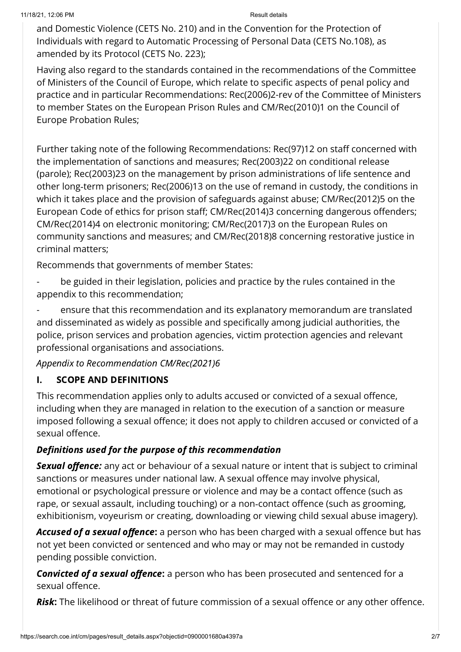and Domestic Violence (CETS No. 210) and in the Convention for the Protection of Individuals with regard to Automatic Processing of Personal Data (CETS No.108), as amended by its Protocol (CETS No. 223);

Having also regard to the standards contained in the recommendations of the Committee of Ministers of the Council of Europe, which relate to specific aspects of penal policy and practice and in particular Recommendations: [Rec\(2006\)2-rev](https://search.coe.int/cm/Pages/result_details.aspx?Reference=Rec(2006)2-rev) of the Committee of Ministers to member States on the European Prison Rules and [CM/Rec\(2010\)1](https://search.coe.int/cm/Pages/result_details.aspx?Reference=CM/Rec(2010)1) on the Council of Europe Probation Rules;

Further taking note of the following Recommendations: [Rec\(97\)12](https://search.coe.int/cm/Pages/result_details.aspx?Reference=Rec(97)12) on staff concerned with the implementation of sanctions and measures; [Rec\(2003\)22](https://search.coe.int/cm/Pages/result_details.aspx?Reference=Rec(2003)22) on conditional release (parole); [Rec\(2003\)23](https://search.coe.int/cm/Pages/result_details.aspx?Reference=Rec(2003)23) on the management by prison administrations of life sentence and other long‑term prisoners; [Rec\(2006\)13](https://search.coe.int/cm/Pages/result_details.aspx?Reference=Rec(2006)13) on the use of remand in custody, the conditions in which it takes place and the provision of safeguards against abuse; [CM/Rec\(2012\)5](https://search.coe.int/cm/Pages/result_details.aspx?Reference=CM/Rec(2012)5) on the European Code of ethics for prison staff; [CM/Rec\(2014\)3](https://search.coe.int/cm/Pages/result_details.aspx?Reference=CM/Rec(2014)3) concerning dangerous offenders; [CM/Rec\(2014\)4](https://search.coe.int/cm/Pages/result_details.aspx?Reference=CM/Rec(2014)4) on electronic monitoring; [CM/Rec\(2017\)3](https://search.coe.int/cm/Pages/result_details.aspx?Reference=CM/Rec(2017)3) on the European Rules on community sanctions and measures; and [CM/Rec\(2018\)8](https://search.coe.int/cm/Pages/result_details.aspx?Reference=CM/Rec(2018)8) concerning restorative justice in criminal matters;

Recommends that governments of member States:

be guided in their legislation, policies and practice by the rules contained in the appendix to this recommendation;

- ensure that this recommendation and its explanatory memorandum are translated and disseminated as widely as possible and specifically among judicial authorities, the police, prison services and probation agencies, victim protection agencies and relevant professional organisations and associations.

Appendix to Recommendation CM/Rec(2021)6

## I. SCOPE AND DEFINITIONS

This recommendation applies only to adults accused or convicted of a sexual offence, including when they are managed in relation to the execution of a sanction or measure imposed following a sexual offence; it does not apply to children accused or convicted of a sexual offence.

## Definitions used for the purpose of this recommendation

Sexual offence: any act or behaviour of a sexual nature or intent that is subject to criminal sanctions or measures under national law. A sexual offence may involve physical, emotional or psychological pressure or violence and may be a contact offence (such as rape, or sexual assault, including touching) or a non‑contact offence (such as grooming, exhibitionism, voyeurism or creating, downloading or viewing child sexual abuse imagery).

Accused of a sexual offence: a person who has been charged with a sexual offence but has not yet been convicted or sentenced and who may or may not be remanded in custody pending possible conviction.

Convicted of a sexual offence: a person who has been prosecuted and sentenced for a sexual offence.

Risk: The likelihood or threat of future commission of a sexual offence or any other offence.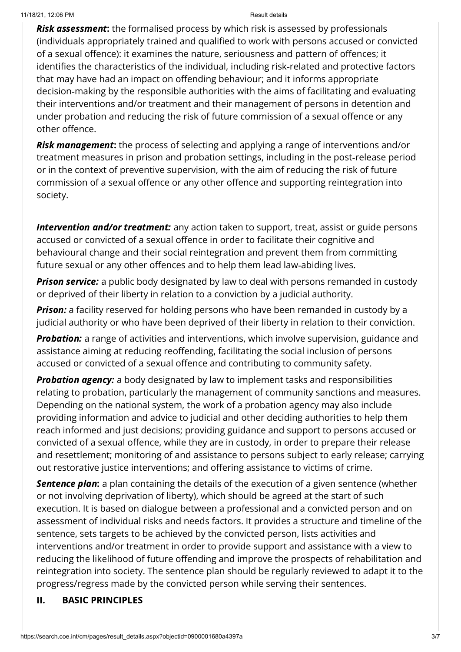**Risk assessment:** the formalised process by which risk is assessed by professionals (individuals appropriately trained and qualified to work with persons accused or convicted of a sexual offence): it examines the nature, seriousness and pattern of offences; it identifies the characteristics of the individual, including risk-related and protective factors that may have had an impact on offending behaviour; and it informs appropriate decision‑making by the responsible authorities with the aims of facilitating and evaluating their interventions and/or treatment and their management of persons in detention and under probation and reducing the risk of future commission of a sexual offence or any other offence.

**Risk management:** the process of selecting and applying a range of interventions and/or treatment measures in prison and probation settings, including in the post-release period or in the context of preventive supervision, with the aim of reducing the risk of future commission of a sexual offence or any other offence and supporting reintegration into society.

Intervention and/or treatment: any action taken to support, treat, assist or guide persons accused or convicted of a sexual offence in order to facilitate their cognitive and behavioural change and their social reintegration and prevent them from committing future sexual or any other offences and to help them lead law-abiding lives.

**Prison service:** a public body designated by law to deal with persons remanded in custody or deprived of their liberty in relation to a conviction by a judicial authority.

**Prison:** a facility reserved for holding persons who have been remanded in custody by a judicial authority or who have been deprived of their liberty in relation to their conviction.

**Probation:** a range of activities and interventions, which involve supervision, guidance and assistance aiming at reducing reoffending, facilitating the social inclusion of persons accused or convicted of a sexual offence and contributing to community safety.

**Probation agency:** a body designated by law to implement tasks and responsibilities relating to probation, particularly the management of community sanctions and measures. Depending on the national system, the work of a probation agency may also include providing information and advice to judicial and other deciding authorities to help them reach informed and just decisions; providing guidance and support to persons accused or convicted of a sexual offence, while they are in custody, in order to prepare their release and resettlement; monitoring of and assistance to persons subject to early release; carrying out restorative justice interventions; and offering assistance to victims of crime.

Sentence plan: a plan containing the details of the execution of a given sentence (whether or not involving deprivation of liberty), which should be agreed at the start of such execution. It is based on dialogue between a professional and a convicted person and on assessment of individual risks and needs factors. It provides a structure and timeline of the sentence, sets targets to be achieved by the convicted person, lists activities and interventions and/or treatment in order to provide support and assistance with a view to reducing the likelihood of future offending and improve the prospects of rehabilitation and reintegration into society. The sentence plan should be regularly reviewed to adapt it to the progress/regress made by the convicted person while serving their sentences.

## II. BASIC PRINCIPLES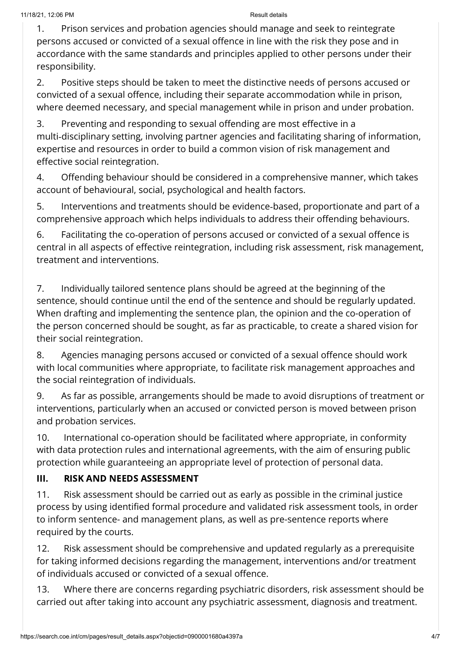1. Prison services and probation agencies should manage and seek to reintegrate persons accused or convicted of a sexual offence in line with the risk they pose and in accordance with the same standards and principles applied to other persons under their responsibility.

2. Positive steps should be taken to meet the distinctive needs of persons accused or convicted of a sexual offence, including their separate accommodation while in prison, where deemed necessary, and special management while in prison and under probation.

3. Preventing and responding to sexual offending are most effective in a multi‑disciplinary setting, involving partner agencies and facilitating sharing of information, expertise and resources in order to build a common vision of risk management and effective social reintegration.

4. Offending behaviour should be considered in a comprehensive manner, which takes account of behavioural, social, psychological and health factors.

5. Interventions and treatments should be evidence-based, proportionate and part of a comprehensive approach which helps individuals to address their offending behaviours.

6. Facilitating the co‑operation of persons accused or convicted of a sexual offence is central in all aspects of effective reintegration, including risk assessment, risk management, treatment and interventions.

7. Individually tailored sentence plans should be agreed at the beginning of the sentence, should continue until the end of the sentence and should be regularly updated. When drafting and implementing the sentence plan, the opinion and the co-operation of the person concerned should be sought, as far as practicable, to create a shared vision for their social reintegration.

8. Agencies managing persons accused or convicted of a sexual offence should work with local communities where appropriate, to facilitate risk management approaches and the social reintegration of individuals.

9. As far as possible, arrangements should be made to avoid disruptions of treatment or interventions, particularly when an accused or convicted person is moved between prison and probation services.

10. International co-operation should be facilitated where appropriate, in conformity with data protection rules and international agreements, with the aim of ensuring public protection while guaranteeing an appropriate level of protection of personal data.

# III. RISK AND NEEDS ASSESSMENT

11. Risk assessment should be carried out as early as possible in the criminal justice process by using identified formal procedure and validated risk assessment tools, in order to inform sentence- and management plans, as well as pre-sentence reports where required by the courts.

12. Risk assessment should be comprehensive and updated regularly as a prerequisite for taking informed decisions regarding the management, interventions and/or treatment of individuals accused or convicted of a sexual offence.

13. Where there are concerns regarding psychiatric disorders, risk assessment should be carried out after taking into account any psychiatric assessment, diagnosis and treatment.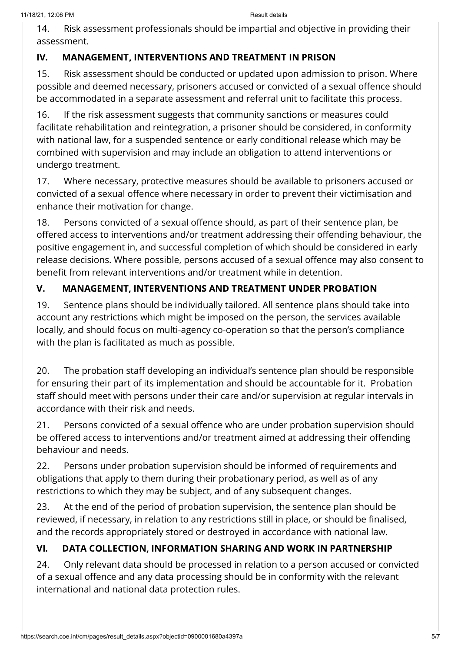14. Risk assessment professionals should be impartial and objective in providing their assessment.

# IV. MANAGEMENT, INTERVENTIONS AND TREATMENT IN PRISON

15. Risk assessment should be conducted or updated upon admission to prison. Where possible and deemed necessary, prisoners accused or convicted of a sexual offence should be accommodated in a separate assessment and referral unit to facilitate this process.

16. If the risk assessment suggests that community sanctions or measures could facilitate rehabilitation and reintegration, a prisoner should be considered, in conformity with national law, for a suspended sentence or early conditional release which may be combined with supervision and may include an obligation to attend interventions or undergo treatment.

17. Where necessary, protective measures should be available to prisoners accused or convicted of a sexual offence where necessary in order to prevent their victimisation and enhance their motivation for change.

18. Persons convicted of a sexual offence should, as part of their sentence plan, be offered access to interventions and/or treatment addressing their offending behaviour, the positive engagement in, and successful completion of which should be considered in early release decisions. Where possible, persons accused of a sexual offence may also consent to benefit from relevant interventions and/or treatment while in detention.

# V. MANAGEMENT, INTERVENTIONS AND TREATMENT UNDER PROBATION

19. Sentence plans should be individually tailored. All sentence plans should take into account any restrictions which might be imposed on the person, the services available locally, and should focus on multi-agency co-operation so that the person's compliance with the plan is facilitated as much as possible.

20. The probation staff developing an individual's sentence plan should be responsible for ensuring their part of its implementation and should be accountable for it. Probation staff should meet with persons under their care and/or supervision at regular intervals in accordance with their risk and needs.

21. Persons convicted of a sexual offence who are under probation supervision should be offered access to interventions and/or treatment aimed at addressing their offending behaviour and needs.

22. Persons under probation supervision should be informed of requirements and obligations that apply to them during their probationary period, as well as of any restrictions to which they may be subject, and of any subsequent changes.

23. At the end of the period of probation supervision, the sentence plan should be reviewed, if necessary, in relation to any restrictions still in place, or should be finalised, and the records appropriately stored or destroyed in accordance with national law.

# VI. DATA COLLECTION, INFORMATION SHARING AND WORK IN PARTNERSHIP

24. Only relevant data should be processed in relation to a person accused or convicted of a sexual offence and any data processing should be in conformity with the relevant international and national data protection rules.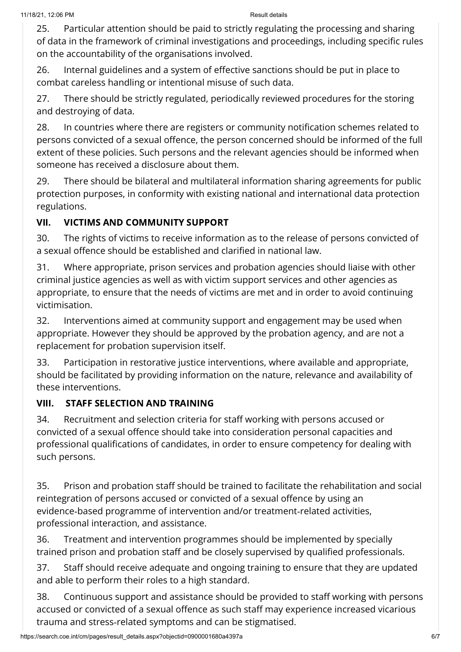25. Particular attention should be paid to strictly regulating the processing and sharing of data in the framework of criminal investigations and proceedings, including specific rules on the accountability of the organisations involved.

26. Internal guidelines and a system of effective sanctions should be put in place to combat careless handling or intentional misuse of such data.

27. There should be strictly regulated, periodically reviewed procedures for the storing and destroying of data.

28. In countries where there are registers or community notification schemes related to persons convicted of a sexual offence, the person concerned should be informed of the full extent of these policies. Such persons and the relevant agencies should be informed when someone has received a disclosure about them.

29. There should be bilateral and multilateral information sharing agreements for public protection purposes, in conformity with existing national and international data protection regulations.

# VII. VICTIMS AND COMMUNITY SUPPORT

30. The rights of victims to receive information as to the release of persons convicted of a sexual offence should be established and clarified in national law.

31. Where appropriate, prison services and probation agencies should liaise with other criminal justice agencies as well as with victim support services and other agencies as appropriate, to ensure that the needs of victims are met and in order to avoid continuing victimisation.

32. Interventions aimed at community support and engagement may be used when appropriate. However they should be approved by the probation agency, and are not a replacement for probation supervision itself.

33. Participation in restorative justice interventions, where available and appropriate, should be facilitated by providing information on the nature, relevance and availability of these interventions.

# VIII. STAFF SELECTION AND TRAINING

34. Recruitment and selection criteria for staff working with persons accused or convicted of a sexual offence should take into consideration personal capacities and professional qualifications of candidates, in order to ensure competency for dealing with such persons.

35. Prison and probation staff should be trained to facilitate the rehabilitation and social reintegration of persons accused or convicted of a sexual offence by using an evidence-based programme of intervention and/or treatment-related activities, professional interaction, and assistance.

36. Treatment and intervention programmes should be implemented by specially trained prison and probation staff and be closely supervised by qualified professionals.

37. Staff should receive adequate and ongoing training to ensure that they are updated and able to perform their roles to a high standard.

38. Continuous support and assistance should be provided to staff working with persons accused or convicted of a sexual offence as such staff may experience increased vicarious trauma and stress‑related symptoms and can be stigmatised.